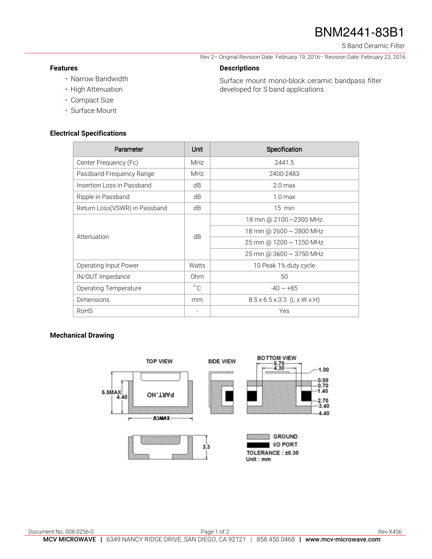# BNM2441-83B1

S Band Ceramic Filter

Rev 2– Original Revision Date: February 19, 2016– Revision Date: February 23, 2016

Surface mount mono-block ceramic bandpass filter

developed for S band applications.

### **Features**

- Narrow Bandwidth
- High Attenuation
- Compact Size
- Surface Mount

#### **Electrical Specifications**

| Parameter                     | Unit         | Specification                           |
|-------------------------------|--------------|-----------------------------------------|
| Center Frequency (Fc)         | <b>MHz</b>   | 2441.5                                  |
| Passband Frequency Range      | <b>MHz</b>   | 2400-2483                               |
| Insertion Loss in Passband    | dB           | 2.0 <sub>max</sub>                      |
| Ripple in Passband            | dB           | 1.0 <sub>max</sub>                      |
| Return Loss(VSWR) in Passband | dB           | $15$ min                                |
| Attenuation                   | dB           | 18 min @ 2100 ~2300 MHz                 |
|                               |              | 18 min @ 2600 ~ 2800 MHz                |
|                               |              | 25 min @ 1200 ~ 1250 MHz                |
|                               |              | 25 min @ 3600 ~ 3750 MHz                |
| Operating Input Power         | Watts        | 10 Peak 1% duty cycle                   |
| IN/OUT Impedance              | Ohm          | 50                                      |
| Operating Temperature         | $^{\circ}$ C | $-40 \sim +85$                          |
| <b>Dimensions</b>             | mm           | $8.5 \times 6.5 \times 3.3$ (L x W x H) |
| <b>RoHS</b>                   |              | Yes                                     |

**Descriptions** 

#### **Mechanical Drawing**